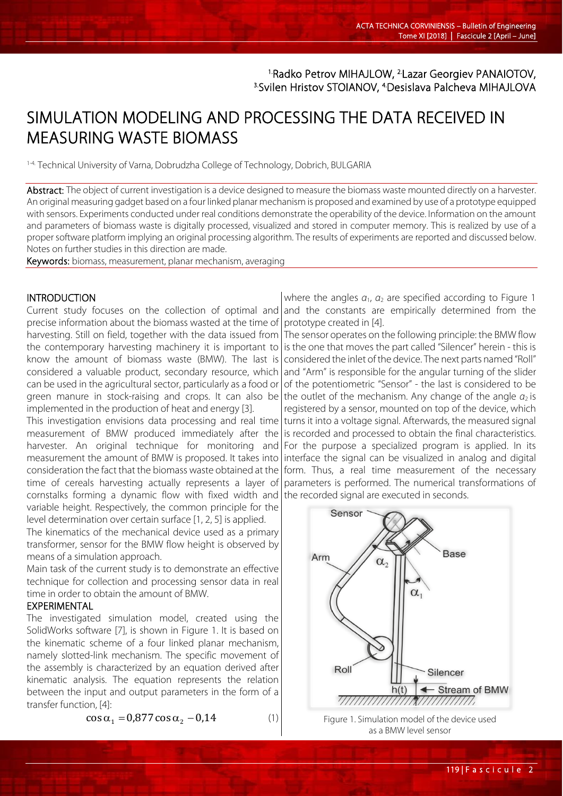# 1.Radko Petrov MIHAJLOW, 2.Lazar Georgiev PANAIOTOV, 3.Svilen Hristov STOIANOV, 4.Desislava Palcheva MIHAJLOVA

# SIMULATION MODELING AND PROCESSING THE DATA RECEIVED IN MEASURING WASTE BIOMASS

1-4. Technical University of Varna, Dobrudzha College of Technology, Dobrich, BULGARIA

Abstract: The object of current investigation is a device designed to measure the biomass waste mounted directly on a harvester. An original measuring gadget based on a four linked planar mechanism is proposed and examined by use of a prototype equipped with sensors. Experiments conducted under real conditions demonstrate the operability of the device. Information on the amount and parameters of biomass waste is digitally processed, visualized and stored in computer memory. This is realized by use of a proper software platform implying an original processing algorithm. The results of experiments are reported and discussed below. Notes on further studies in this direction are made.

Keywords: biomass, measurement, planar mechanism, averaging

#### **INTRODUCTION**

Current study focuses on the collection of optimal and and the constants are empirically determined from the precise information about the biomass wasted at the time of harvesting. Still on field, together with the data issued from the contemporary harvesting machinery it is important to know the amount of biomass waste (BMW). The last is considered a valuable product, secondary resource, which can be used in the agricultural sector, particularly as a food or green manure in stock-raising and crops. It can also be|the outlet of the mechanism. Any change of the angle α<sub>2</sub> is implemented in the production of heat and energy [3].

This investigation envisions data processing and real time measurement of BMW produced immediately after the harvester. An original technique for monitoring and measurement the amount of BMW is proposed. It takes into consideration the fact that the biomass waste obtained at the time of cereals harvesting actually represents a layer of cornstalks forming a dynamic flow with fixed width and variable height. Respectively, the common principle for the level determination over certain surface [1, 2, 5] is applied.

The kinematics of the mechanical device used as a primary transformer, sensor for the BMW flow height is observed by means of a simulation approach.

Main task of the current study is to demonstrate an effective technique for collection and processing sensor data in real time in order to obtain the amount of BMW.

### EXPERIMENTAL

The investigated simulation model, created using the SolidWorks software [7], is shown in Figure 1. It is based on the kinematic scheme of a four linked planar mechanism, namely slotted-link mechanism. The specific movement of the assembly is characterized by an equation derived after kinematic analysis. The equation represents the relation between the input and output parameters in the form of a transfer function, [4]:

$$
\cos \alpha_1 = 0.877 \cos \alpha_2 - 0.14 \tag{1}
$$

where the angles *α*1, *α*<sup>2</sup> are specified according to Figure 1 prototype created in [4].

The sensor operates on the following principle: the BMW flow is the one that moves the part called "Silencer" herein - this is considered the inlet of the device. The next parts named "Roll" and "Arm" is responsible for the angular turning of the slider of the potentiometric "Sensor" - the last is considered to be registered by a sensor, mounted on top of the device, which turns it into a voltage signal. Afterwards, the measured signal is recorded and processed to obtain the final characteristics. For the purpose a specialized program is applied. In its interface the signal can be visualized in analog and digital form. Thus, a real time measurement of the necessary parameters is performed. The numerical transformations of the recorded signal are executed in seconds.





119 | Fascicule 2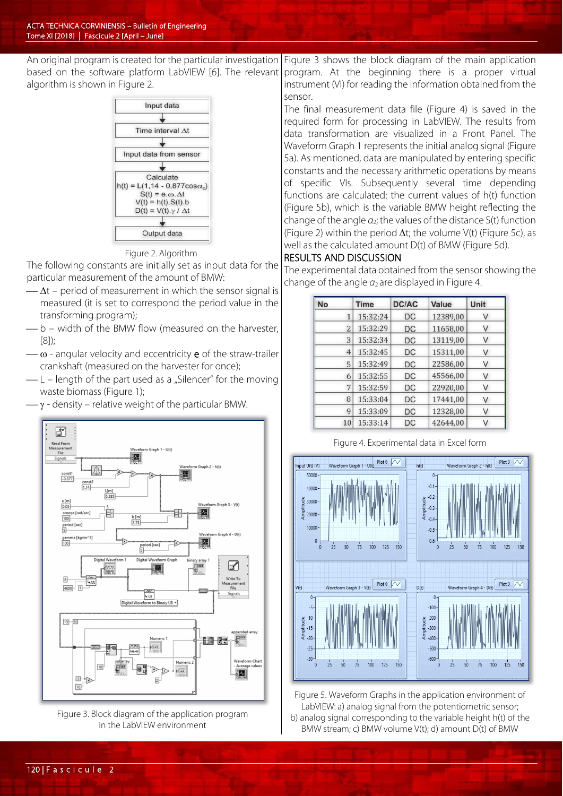An original program is created for the particular investigation based on the software platform LabVIEW [6]. The relevant algorithm is shown in Figure 2. Figure 3 shows the block diagram of the main application



#### Figure 2. Algorithm

The following constants are initially set as input data for the particular measurement of the amount of BMW:

- $\Delta t$  period of measurement in which the sensor signal is measured (it is set to correspond the period value in the transforming program);
- b width of the BMW flow (measured on the harvester, [8]);
- $-\omega$  angular velocity and eccentricity **e** of the straw-trailer crankshaft (measured on the harvester for once);
- $-L$  length of the part used as a "Silencer" for the moving waste biomass (Figure 1);
- $-\gamma$  density relative weight of the particular BMW.



Figure 3. Block diagram of the application program in the LabVIEW environment

program. At the beginning there is a proper virtual instrument (VI) for reading the information obtained from the sensor.

The final measurement data file (Figure 4) is saved in the required form for processing in LabVIEW. The results from data transformation are visualized in a Front Panel. The Waveform Graph 1 represents the initial analog signal (Figure 5a). As mentioned, data are manipulated by entering specific constants and the necessary arithmetic operations by means of specific VIs. Subsequently several time depending functions are calculated: the current values of h(t) function (Figure 5b), which is the variable BMW height reflecting the change of the angle *α*2; the values of the distance S(t) function (Figure 2) within the period ∆t; the volume V(t) (Figure 5c), as well as the calculated amount D(t) of BMW (Figure 5d).

#### RESULTS AND DISCUSSION

The experimental data obtained from the sensor showing the change of the angle  $a_2$  are displayed in Figure 4.

| <b>No</b>      | <b>Time</b> | <b>DC/AC</b> | Value    | Unit |
|----------------|-------------|--------------|----------|------|
| 1              | 15:32:24    | DC           | 12389,00 | V    |
| 2              | 15:32:29    | DC           | 11658,00 | V    |
| 3              | 15:32:34    | DC           | 13119,00 |      |
| $\overline{4}$ | 15:32:45    | DC           | 15311,00 | V    |
| 5              | 15:32:49    | DC           | 22586,00 | V    |
| 6              | 15:32:55    | DC           | 45566.00 |      |
| 7              | 15:32:59    | DC           | 22920,00 |      |
| 8              | 15:33:04    | DC           | 17441,00 | V    |
| 9              | 15:33:09    | DC           | 12328,00 | V    |
| 10             | 15:33:14    | DC           | 42644,00 |      |

Figure 4. Experimental data in Excel form



Figure 5. Waveform Graphs in the application environment of LabVIEW: a) analog signal from the potentiometric sensor; b) analog signal corresponding to the variable height h(t) of the BMW stream; c) BMW volume V(t); d) amount D(t) of BMW